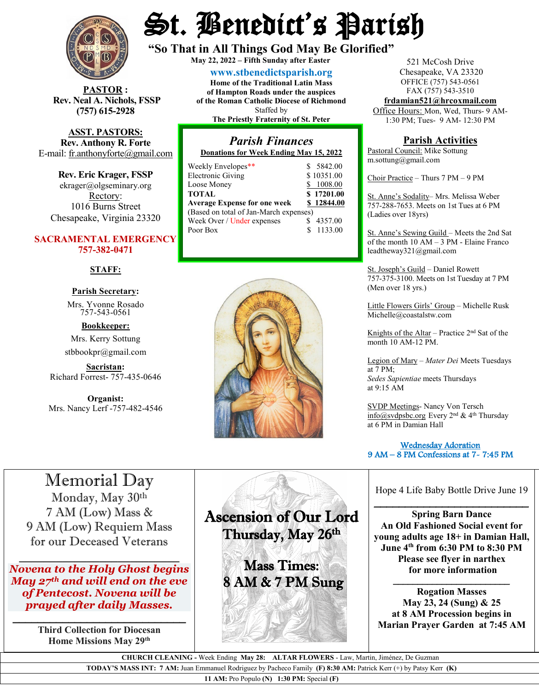

**STOR** : **Rev. Neal A. Nichols, FSSP (757) 615-2928** 

**ASST. PASTORS: Rev. Anthony R. Forte** E-mail: [fr.anthonyforte@gmail.com](mailto:fr.anthonyforte@gmail.com)

**Rev. Eric Krager, FSSP** ekrager@olgseminary.org Rectory: 1016 Burns Street Chesapeake, Virginia 23320

#### **SACRAMENTAL EMERGENCY 757-382-0471**

#### **STAFF:**

### **Parish Secretary:**

Mrs. Yvonne Rosado757-543-0561

**Bookkeeper:** Mrs. Kerry Sottung stbbookpr@gmail.com

**Sacristan:**  Richard Forrest- 757-435-0646

**Organist:** Mrs. Nancy Lerf -757-482-4546

# St. Benedict's Parish

**"So That in All Things God May Be Glorified" May 22, <sup>2022</sup> – Fifth Sunday after Easter**

**[www.stbenedictsparish.org](http://www.stbenedictsparish.org/) Home of the Traditional Latin Mass of Hampton Roads under the auspices**

**of the Roman Catholic Diocese of Richmond** Staffed by **The Priestly Fraternity of St. Peter**

#### *Parish Finances* **Donations for Week Ending May 15, 2022**

| Weekly Envelopes**                     | \$ 5842.00 |
|----------------------------------------|------------|
| Electronic Giving                      | \$10351.00 |
| Loose Money                            | 1008.00    |
| <b>TOTAL</b>                           | \$17201.00 |
| <b>Average Expense for one week</b>    | \$12844.00 |
| (Based on total of Jan-March expenses) |            |
| Week Over / Under expenses             | 4357.00    |

Poor Box \$ 1133.00



521 McCosh Drive Chesapeake, VA 23320 OFFICE (757) 543-0561 FAX (757) 543-3510

**[frdamian521@hrcoxmail.com](mailto:frdamian521@hrcoxmail.com)** Office Hours: Mon, Wed, Thurs- 9 AM-

1:30 PM; Tues- 9 AM- 12:30 PM

#### **Parish Activities**

Pastoral Council: Mike Sottung m.sottung@gmail.com

Choir Practice – Thurs 7 PM – 9 PM

St. Anne's Sodality– Mrs. Melissa Weber 757-288-7653. Meets on 1st Tues at 6 PM (Ladies over 18yrs)

St. Anne's Sewing Guild – Meets the 2nd Sat of the month 10 AM – 3 PM - Elaine Franco leadtheway321@gmail.com

St. Joseph's Guild – Daniel Rowett 757-375-3100. Meets on 1st Tuesday at 7 PM (Men over 18 yrs.)

Little Flowers Girls' Group – Michelle Rusk Michelle@coastalstw.com

Knights of the Altar – Practice  $2<sup>nd</sup>$  Sat of the month 10 AM-12 PM.

Legion of Mary – *Mater Dei* Meets Tuesdays at 7 PM; *Sedes Sapientiae* meets Thursdays at 9:15 AM

SVDP Meetings- Nancy Von Tersch [info@svdpsbc.org](mailto:info@svdpsbc.org) Every 2<sup>nd</sup> & 4<sup>th</sup> Thursday at 6 PM in Damian Hall

#### Wednesday Adoration 9 AM – 8 PM Confessions at 7- 7:45 PM  $\overline{a}$

# Memorial Day

Monday, May 30th 7 AM (Low) Mass & 9 AM (Low) Requiem Mass for our Deceased Veterans

 $\overline{\phantom{a}}$ *Novena to the Holy Ghost begins May 27th and will end on the eve of Pentecost. Novena will be prayed after daily Masses.*

\_\_\_\_\_\_\_\_\_\_\_\_\_\_\_\_\_\_\_\_\_\_\_\_\_\_\_\_ **Third Collection for Diocesan Home Missions May 29th**

Ascension of Our Lord Thursday, May 26th

Ī

**Sales A** 

Mass Times: 8 AM & 7 PM Sung Hope 4 Life Baby Bottle Drive June 19

**Spring Barn Dance An Old Fashioned Social event for young adults age 18+ in Damian Hall, June 4th from 6:30 PM to 8:30 PM Please see flyer in narthex for more information**

\_\_\_\_\_\_\_\_\_\_\_\_\_\_\_\_\_\_\_\_\_\_\_\_\_

**Rogation Masses May 23, 24 (Sung) & 25 at 8 AM Procession begins in Marian Prayer Garden at 7:45 AM**

\_\_\_\_\_\_\_\_\_\_\_\_\_\_\_\_\_\_\_\_\_\_\_\_

 **CHURCH CLEANING -** Week Ending **May 28: ALTAR FLOWERS** - Law, Martin, Jiménez, De Guzman

**TODAY'S MASS INT: 7 AM:** Juan Emmanuel Rodriguez by Pacheco Family **(F) 8:30 AM:** Patrick Kerr (+) by Patsy Kerr **(K)**

**11 AM:** Pro Populo **(N) 1:30 PM:** Special **(F)**